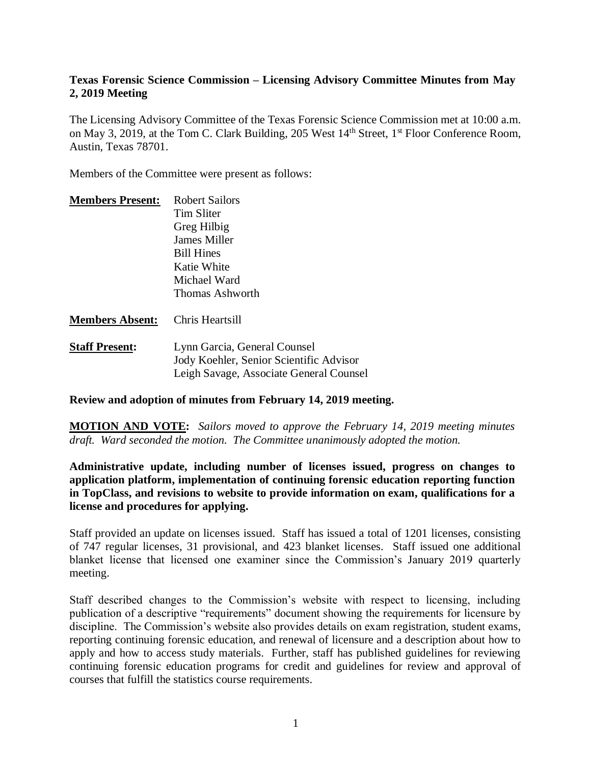## **Texas Forensic Science Commission – Licensing Advisory Committee Minutes from May 2, 2019 Meeting**

The Licensing Advisory Committee of the Texas Forensic Science Commission met at 10:00 a.m. on May 3, 2019, at the Tom C. Clark Building, 205 West 14<sup>th</sup> Street, 1<sup>st</sup> Floor Conference Room, Austin, Texas 78701.

Members of the Committee were present as follows:

| <b>Members Present:</b> | Robert Sailors      |
|-------------------------|---------------------|
|                         | Tim Sliter          |
|                         | Greg Hilbig         |
|                         | <b>James Miller</b> |
|                         | <b>Bill Hines</b>   |
|                         | Katie White         |
|                         | Michael Ward        |
|                         | Thomas Ashworth     |
|                         |                     |

### **Members Absent:** Chris Heartsill

**Staff Present:** Lynn Garcia, General Counsel Jody Koehler, Senior Scientific Advisor Leigh Savage, Associate General Counsel

### **Review and adoption of minutes from February 14, 2019 meeting.**

**MOTION AND VOTE:** *Sailors moved to approve the February 14, 2019 meeting minutes draft. Ward seconded the motion. The Committee unanimously adopted the motion.*

## **Administrative update, including number of licenses issued, progress on changes to application platform, implementation of continuing forensic education reporting function in TopClass, and revisions to website to provide information on exam, qualifications for a license and procedures for applying.**

Staff provided an update on licenses issued. Staff has issued a total of 1201 licenses, consisting of 747 regular licenses, 31 provisional, and 423 blanket licenses. Staff issued one additional blanket license that licensed one examiner since the Commission's January 2019 quarterly meeting.

Staff described changes to the Commission's website with respect to licensing, including publication of a descriptive "requirements" document showing the requirements for licensure by discipline. The Commission's website also provides details on exam registration, student exams, reporting continuing forensic education, and renewal of licensure and a description about how to apply and how to access study materials. Further, staff has published guidelines for reviewing continuing forensic education programs for credit and guidelines for review and approval of courses that fulfill the statistics course requirements.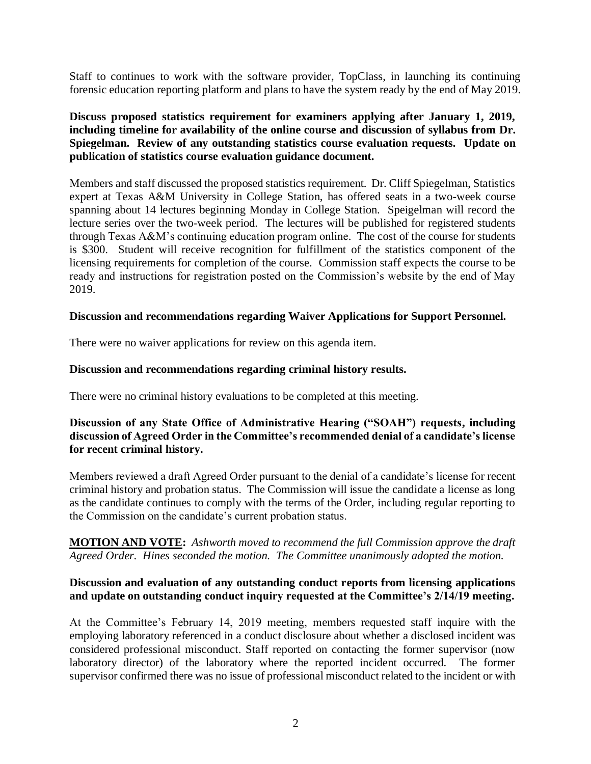Staff to continues to work with the software provider, TopClass, in launching its continuing forensic education reporting platform and plans to have the system ready by the end of May 2019.

## **Discuss proposed statistics requirement for examiners applying after January 1, 2019, including timeline for availability of the online course and discussion of syllabus from Dr. Spiegelman. Review of any outstanding statistics course evaluation requests. Update on publication of statistics course evaluation guidance document.**

Members and staff discussed the proposed statistics requirement. Dr. Cliff Spiegelman, Statistics expert at Texas A&M University in College Station, has offered seats in a two-week course spanning about 14 lectures beginning Monday in College Station. Speigelman will record the lecture series over the two-week period. The lectures will be published for registered students through Texas A&M's continuing education program online. The cost of the course for students is \$300. Student will receive recognition for fulfillment of the statistics component of the licensing requirements for completion of the course. Commission staff expects the course to be ready and instructions for registration posted on the Commission's website by the end of May 2019.

### **Discussion and recommendations regarding Waiver Applications for Support Personnel.**

There were no waiver applications for review on this agenda item.

## **Discussion and recommendations regarding criminal history results.**

There were no criminal history evaluations to be completed at this meeting.

## **Discussion of any State Office of Administrative Hearing ("SOAH") requests, including discussion of Agreed Order in the Committee's recommended denial of a candidate's license for recent criminal history.**

Members reviewed a draft Agreed Order pursuant to the denial of a candidate's license for recent criminal history and probation status. The Commission will issue the candidate a license as long as the candidate continues to comply with the terms of the Order, including regular reporting to the Commission on the candidate's current probation status.

# **MOTION AND VOTE:** *Ashworth moved to recommend the full Commission approve the draft Agreed Order. Hines seconded the motion. The Committee unanimously adopted the motion.*

## **Discussion and evaluation of any outstanding conduct reports from licensing applications and update on outstanding conduct inquiry requested at the Committee's 2/14/19 meeting.**

At the Committee's February 14, 2019 meeting, members requested staff inquire with the employing laboratory referenced in a conduct disclosure about whether a disclosed incident was considered professional misconduct. Staff reported on contacting the former supervisor (now laboratory director) of the laboratory where the reported incident occurred. The former supervisor confirmed there was no issue of professional misconduct related to the incident or with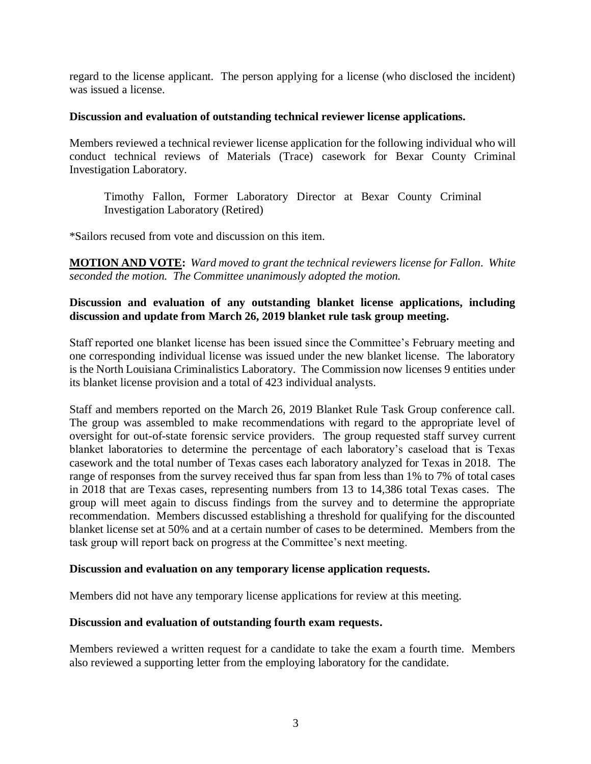regard to the license applicant. The person applying for a license (who disclosed the incident) was issued a license.

## **Discussion and evaluation of outstanding technical reviewer license applications.**

Members reviewed a technical reviewer license application for the following individual who will conduct technical reviews of Materials (Trace) casework for Bexar County Criminal Investigation Laboratory.

Timothy Fallon, Former Laboratory Director at Bexar County Criminal Investigation Laboratory (Retired)

\*Sailors recused from vote and discussion on this item.

**MOTION AND VOTE:** *Ward moved to grant the technical reviewers license for Fallon. White seconded the motion. The Committee unanimously adopted the motion.*

## **Discussion and evaluation of any outstanding blanket license applications, including discussion and update from March 26, 2019 blanket rule task group meeting.**

Staff reported one blanket license has been issued since the Committee's February meeting and one corresponding individual license was issued under the new blanket license. The laboratory is the North Louisiana Criminalistics Laboratory. The Commission now licenses 9 entities under its blanket license provision and a total of 423 individual analysts.

Staff and members reported on the March 26, 2019 Blanket Rule Task Group conference call. The group was assembled to make recommendations with regard to the appropriate level of oversight for out-of-state forensic service providers. The group requested staff survey current blanket laboratories to determine the percentage of each laboratory's caseload that is Texas casework and the total number of Texas cases each laboratory analyzed for Texas in 2018. The range of responses from the survey received thus far span from less than 1% to 7% of total cases in 2018 that are Texas cases, representing numbers from 13 to 14,386 total Texas cases. The group will meet again to discuss findings from the survey and to determine the appropriate recommendation. Members discussed establishing a threshold for qualifying for the discounted blanket license set at 50% and at a certain number of cases to be determined. Members from the task group will report back on progress at the Committee's next meeting.

### **Discussion and evaluation on any temporary license application requests.**

Members did not have any temporary license applications for review at this meeting.

### **Discussion and evaluation of outstanding fourth exam requests.**

Members reviewed a written request for a candidate to take the exam a fourth time. Members also reviewed a supporting letter from the employing laboratory for the candidate.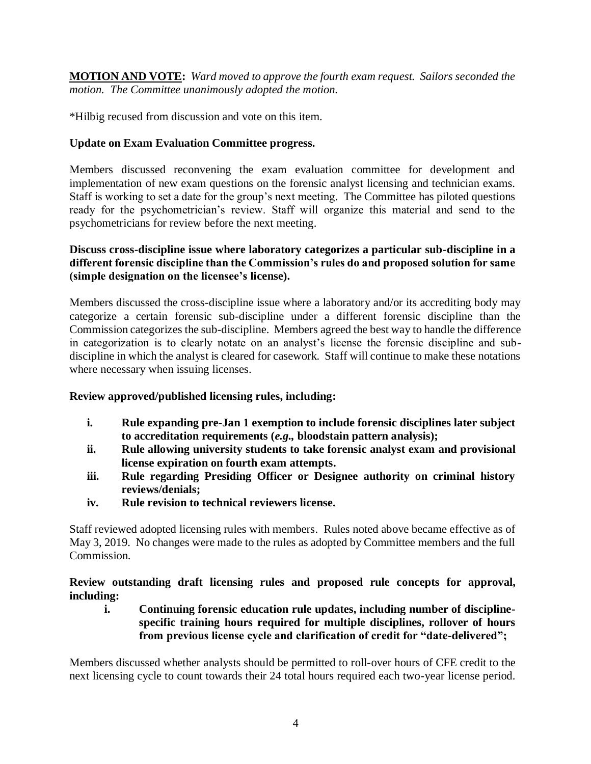**MOTION AND VOTE:** *Ward moved to approve the fourth exam request. Sailors seconded the motion. The Committee unanimously adopted the motion.*

\*Hilbig recused from discussion and vote on this item.

# **Update on Exam Evaluation Committee progress.**

Members discussed reconvening the exam evaluation committee for development and implementation of new exam questions on the forensic analyst licensing and technician exams. Staff is working to set a date for the group's next meeting. The Committee has piloted questions ready for the psychometrician's review. Staff will organize this material and send to the psychometricians for review before the next meeting.

# **Discuss cross-discipline issue where laboratory categorizes a particular sub-discipline in a different forensic discipline than the Commission's rules do and proposed solution for same (simple designation on the licensee's license).**

Members discussed the cross-discipline issue where a laboratory and/or its accrediting body may categorize a certain forensic sub-discipline under a different forensic discipline than the Commission categorizes the sub-discipline. Members agreed the best way to handle the difference in categorization is to clearly notate on an analyst's license the forensic discipline and subdiscipline in which the analyst is cleared for casework. Staff will continue to make these notations where necessary when issuing licenses.

# **Review approved/published licensing rules, including:**

- **i. Rule expanding pre-Jan 1 exemption to include forensic disciplines later subject to accreditation requirements (***e.g.,* **bloodstain pattern analysis);**
- **ii. Rule allowing university students to take forensic analyst exam and provisional license expiration on fourth exam attempts.**
- **iii. Rule regarding Presiding Officer or Designee authority on criminal history reviews/denials;**
- **iv. Rule revision to technical reviewers license.**

Staff reviewed adopted licensing rules with members. Rules noted above became effective as of May 3, 2019. No changes were made to the rules as adopted by Committee members and the full Commission.

**Review outstanding draft licensing rules and proposed rule concepts for approval, including:**

**i. Continuing forensic education rule updates, including number of disciplinespecific training hours required for multiple disciplines, rollover of hours from previous license cycle and clarification of credit for "date-delivered";**

Members discussed whether analysts should be permitted to roll-over hours of CFE credit to the next licensing cycle to count towards their 24 total hours required each two-year license period.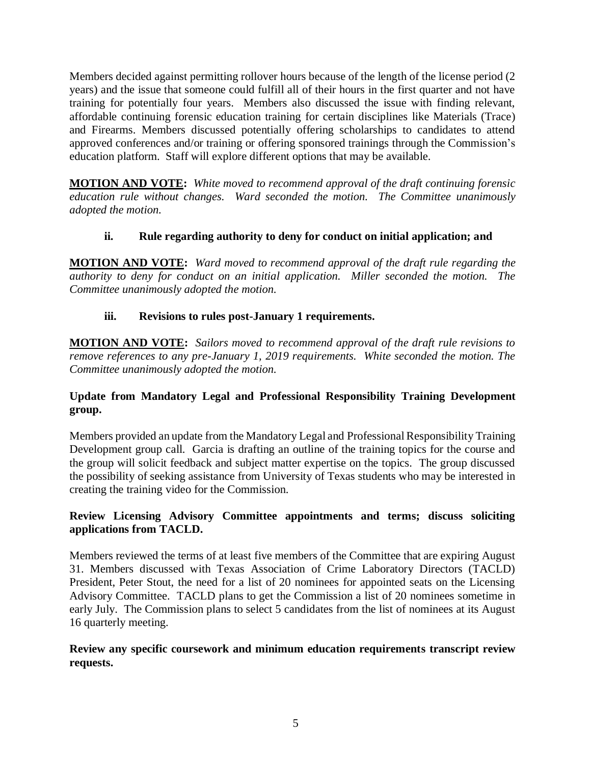Members decided against permitting rollover hours because of the length of the license period (2 years) and the issue that someone could fulfill all of their hours in the first quarter and not have training for potentially four years. Members also discussed the issue with finding relevant, affordable continuing forensic education training for certain disciplines like Materials (Trace) and Firearms. Members discussed potentially offering scholarships to candidates to attend approved conferences and/or training or offering sponsored trainings through the Commission's education platform. Staff will explore different options that may be available.

**MOTION AND VOTE:** *White moved to recommend approval of the draft continuing forensic education rule without changes. Ward seconded the motion. The Committee unanimously adopted the motion.*

# **ii. Rule regarding authority to deny for conduct on initial application; and**

**MOTION AND VOTE:** *Ward moved to recommend approval of the draft rule regarding the authority to deny for conduct on an initial application. Miller seconded the motion. The Committee unanimously adopted the motion.*

# **iii. Revisions to rules post-January 1 requirements.**

**MOTION AND VOTE:** *Sailors moved to recommend approval of the draft rule revisions to remove references to any pre-January 1, 2019 requirements. White seconded the motion. The Committee unanimously adopted the motion.*

# **Update from Mandatory Legal and Professional Responsibility Training Development group.**

Members provided an update from the Mandatory Legal and Professional Responsibility Training Development group call. Garcia is drafting an outline of the training topics for the course and the group will solicit feedback and subject matter expertise on the topics. The group discussed the possibility of seeking assistance from University of Texas students who may be interested in creating the training video for the Commission.

# **Review Licensing Advisory Committee appointments and terms; discuss soliciting applications from TACLD.**

Members reviewed the terms of at least five members of the Committee that are expiring August 31. Members discussed with Texas Association of Crime Laboratory Directors (TACLD) President, Peter Stout, the need for a list of 20 nominees for appointed seats on the Licensing Advisory Committee. TACLD plans to get the Commission a list of 20 nominees sometime in early July. The Commission plans to select 5 candidates from the list of nominees at its August 16 quarterly meeting.

# **Review any specific coursework and minimum education requirements transcript review requests.**